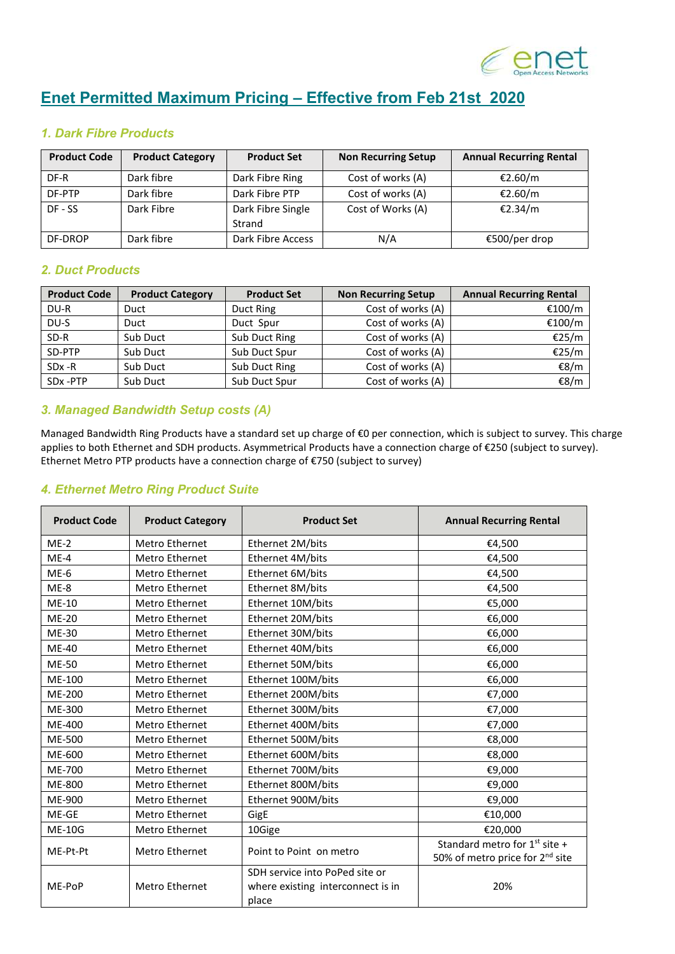

# **Enet Permitted Maximum Pricing – Effective from Feb 21st 2020**

## *1. Dark Fibre Products*

| <b>Product Code</b> | <b>Product Category</b> | <b>Product Set</b> | <b>Non Recurring Setup</b> | <b>Annual Recurring Rental</b> |
|---------------------|-------------------------|--------------------|----------------------------|--------------------------------|
| DF-R                | Dark fibre              | Dark Fibre Ring    | Cost of works (A)          | €2.60/m                        |
| DF-PTP              | Dark fibre              | Dark Fibre PTP     | Cost of works (A)          | €2.60/m                        |
| DF - SS             | Dark Fibre              | Dark Fibre Single  | Cost of Works (A)          | €2.34/m                        |
|                     |                         | Strand             |                            |                                |
| DF-DROP             | Dark fibre              | Dark Fibre Access  | N/A                        | €500/per drop                  |

## *2. Duct Products*

| <b>Product Code</b> | <b>Product Category</b> | <b>Product Set</b> | <b>Non Recurring Setup</b> | <b>Annual Recurring Rental</b> |
|---------------------|-------------------------|--------------------|----------------------------|--------------------------------|
| DU-R                | Duct                    | Duct Ring          | Cost of works (A)          | €100/m                         |
| DU-S                | Duct                    | Duct Spur          | Cost of works (A)          | €100/m                         |
| SD-R                | Sub Duct                | Sub Duct Ring      | Cost of works (A)          | €25/m                          |
| SD-PTP              | Sub Duct                | Sub Duct Spur      | Cost of works (A)          | €25/m                          |
| SD <sub>x</sub> -R  | Sub Duct                | Sub Duct Ring      | Cost of works (A)          | €8/m                           |
| SDx -PTP            | Sub Duct                | Sub Duct Spur      | Cost of works (A)          | €8/m                           |

### *3. Managed Bandwidth Setup costs (A)*

Managed Bandwidth Ring Products have a standard set up charge of €0 per connection, which is subject to survey. This charge applies to both Ethernet and SDH products. Asymmetrical Products have a connection charge of €250 (subject to survey). Ethernet Metro PTP products have a connection charge of €750 (subject to survey)

### *4. Ethernet Metro Ring Product Suite*

| <b>Product Code</b> | <b>Product Category</b> | <b>Product Set</b>                                                           | <b>Annual Recurring Rental</b>                                                           |
|---------------------|-------------------------|------------------------------------------------------------------------------|------------------------------------------------------------------------------------------|
| $ME-2$              | Metro Ethernet          | Ethernet 2M/bits                                                             | €4,500                                                                                   |
| $ME-4$              | <b>Metro Ethernet</b>   | Ethernet 4M/bits                                                             | €4,500                                                                                   |
| $ME-6$              | Metro Ethernet          | Ethernet 6M/bits                                                             | €4,500                                                                                   |
| ME-8                | Metro Ethernet          | Ethernet 8M/bits                                                             | €4,500                                                                                   |
| ME-10               | Metro Ethernet          | Ethernet 10M/bits                                                            | €5,000                                                                                   |
| <b>ME-20</b>        | Metro Ethernet          | Ethernet 20M/bits                                                            | €6,000                                                                                   |
| <b>ME-30</b>        | Metro Ethernet          | Ethernet 30M/bits                                                            | €6,000                                                                                   |
| <b>ME-40</b>        | Metro Ethernet          | Ethernet 40M/bits                                                            | €6,000                                                                                   |
| ME-50               | Metro Ethernet          | Ethernet 50M/bits                                                            | €6,000                                                                                   |
| ME-100              | Metro Ethernet          | Ethernet 100M/bits                                                           | €6,000                                                                                   |
| ME-200              | Metro Ethernet          | Ethernet 200M/bits                                                           | €7,000                                                                                   |
| ME-300              | <b>Metro Ethernet</b>   | Ethernet 300M/bits                                                           | €7,000                                                                                   |
| ME-400              | Metro Ethernet          | Ethernet 400M/bits                                                           | €7,000                                                                                   |
| ME-500              | Metro Ethernet          | Ethernet 500M/bits                                                           | €8,000                                                                                   |
| ME-600              | Metro Ethernet          | Ethernet 600M/bits                                                           | €8,000                                                                                   |
| ME-700              | Metro Ethernet          | Ethernet 700M/bits                                                           | €9,000                                                                                   |
| ME-800              | Metro Ethernet          | Ethernet 800M/bits                                                           | €9,000                                                                                   |
| ME-900              | Metro Ethernet          | Ethernet 900M/bits                                                           | €9,000                                                                                   |
| ME-GE               | Metro Ethernet          | GigE                                                                         | €10,000                                                                                  |
| <b>ME-10G</b>       | Metro Ethernet          | 10Gige                                                                       | €20,000                                                                                  |
| ME-Pt-Pt            | <b>Metro Ethernet</b>   | Point to Point on metro                                                      | Standard metro for 1 <sup>st</sup> site +<br>50% of metro price for 2 <sup>nd</sup> site |
| ME-PoP              | Metro Ethernet          | SDH service into PoPed site or<br>where existing interconnect is in<br>place | 20%                                                                                      |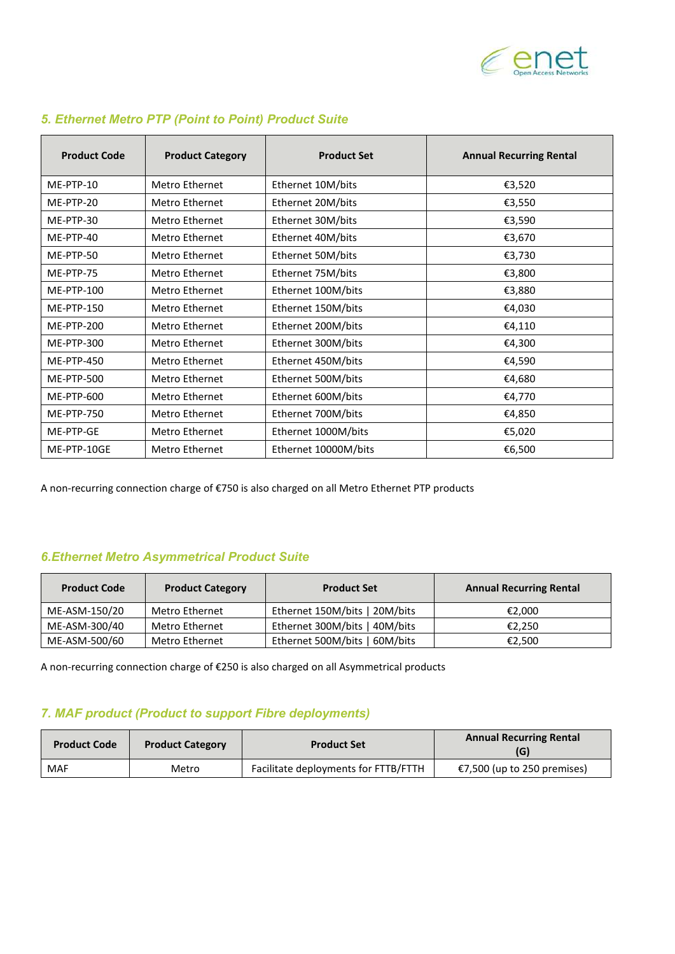

| <b>Product Code</b> | <b>Product Category</b> | <b>Product Set</b>   | <b>Annual Recurring Rental</b> |
|---------------------|-------------------------|----------------------|--------------------------------|
| ME-PTP-10           | Metro Ethernet          | Ethernet 10M/bits    | €3,520                         |
| ME-PTP-20           | Metro Ethernet          | Ethernet 20M/bits    | €3,550                         |
| ME-PTP-30           | Metro Ethernet          | Ethernet 30M/bits    | €3,590                         |
| ME-PTP-40           | Metro Ethernet          | Ethernet 40M/bits    | €3,670                         |
| ME-PTP-50           | Metro Ethernet          | Ethernet 50M/bits    | €3,730                         |
| ME-PTP-75           | Metro Ethernet          | Ethernet 75M/bits    | €3,800                         |
| ME-PTP-100          | Metro Ethernet          | Ethernet 100M/bits   | €3,880                         |
| ME-PTP-150          | Metro Ethernet          | Ethernet 150M/bits   | €4,030                         |
| ME-PTP-200          | Metro Ethernet          | Ethernet 200M/bits   | €4,110                         |
| ME-PTP-300          | Metro Ethernet          | Ethernet 300M/bits   | €4,300                         |
| <b>ME-PTP-450</b>   | Metro Ethernet          | Ethernet 450M/bits   | €4,590                         |
| ME-PTP-500          | Metro Ethernet          | Ethernet 500M/bits   | €4,680                         |
| ME-PTP-600          | Metro Ethernet          | Ethernet 600M/bits   | €4,770                         |
| <b>ME-PTP-750</b>   | Metro Ethernet          | Ethernet 700M/bits   | €4,850                         |
| ME-PTP-GE           | Metro Ethernet          | Ethernet 1000M/bits  | €5,020                         |
| ME-PTP-10GE         | Metro Ethernet          | Ethernet 10000M/bits | €6,500                         |

## *5. Ethernet Metro PTP (Point to Point) Product Suite*

A non-recurring connection charge of €750 is also charged on all Metro Ethernet PTP products

# *6.Ethernet Metro Asymmetrical Product Suite*

| <b>Product Code</b> | <b>Product Category</b> | <b>Product Set</b>            | <b>Annual Recurring Rental</b> |
|---------------------|-------------------------|-------------------------------|--------------------------------|
| ME-ASM-150/20       | Metro Ethernet          | Ethernet 150M/bits   20M/bits | €2.000                         |
| ME-ASM-300/40       | Metro Ethernet          | Ethernet 300M/bits   40M/bits | €2.250                         |
| ME-ASM-500/60       | Metro Ethernet          | Ethernet 500M/bits   60M/bits | €2,500                         |

A non-recurring connection charge of €250 is also charged on all Asymmetrical products

# *7. MAF product (Product to support Fibre deployments)*

| <b>Product Code</b> | <b>Product Category</b> | <b>Product Set</b>                   | <b>Annual Recurring Rental</b><br>(G) |
|---------------------|-------------------------|--------------------------------------|---------------------------------------|
| <b>MAF</b>          | Metro                   | Facilitate deployments for FTTB/FTTH | €7,500 (up to 250 premises)           |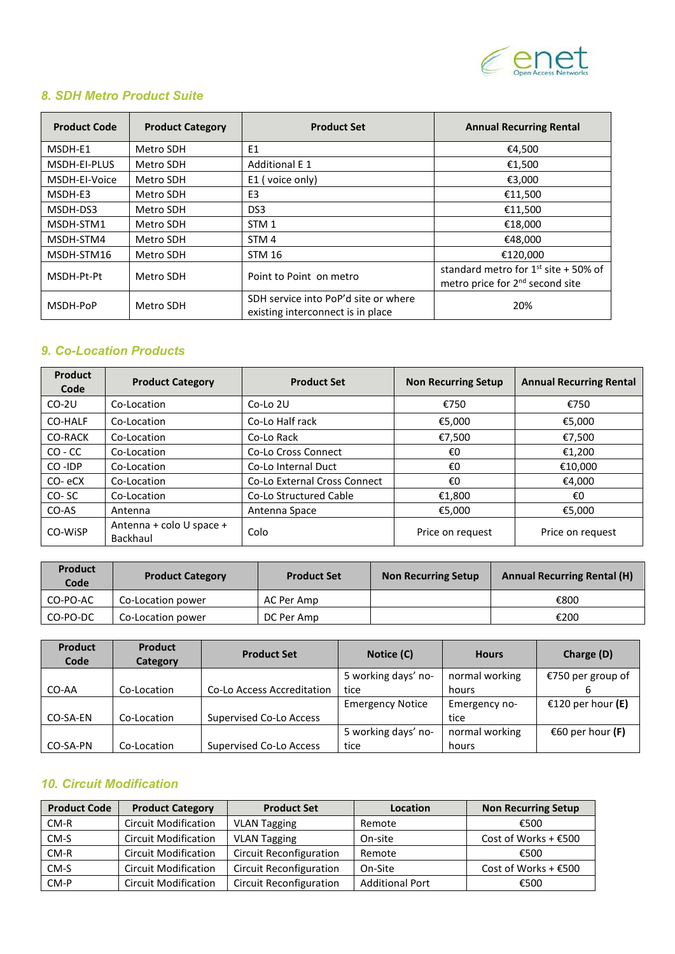

# *8. SDH Metro Product Suite*

| <b>Product Code</b> | <b>Product Category</b> | <b>Product Set</b>                                                        | <b>Annual Recurring Rental</b>                                                           |
|---------------------|-------------------------|---------------------------------------------------------------------------|------------------------------------------------------------------------------------------|
| MSDH-E1             | Metro SDH               | E1                                                                        | €4,500                                                                                   |
| MSDH-EI-PLUS        | Metro SDH               | <b>Additional E 1</b>                                                     | €1,500                                                                                   |
| MSDH-EI-Voice       | Metro SDH               | E1 (voice only)                                                           | €3,000                                                                                   |
| MSDH-E3             | Metro SDH               | E <sub>3</sub>                                                            | €11,500                                                                                  |
| MSDH-DS3            | Metro SDH               | DS <sub>3</sub>                                                           | €11.500                                                                                  |
| MSDH-STM1           | Metro SDH               | STM <sub>1</sub>                                                          | €18,000                                                                                  |
| MSDH-STM4           | Metro SDH               | STM <sub>4</sub>                                                          | €48,000                                                                                  |
| MSDH-STM16          | Metro SDH               | <b>STM 16</b>                                                             | €120.000                                                                                 |
| MSDH-Pt-Pt          | Metro SDH               | Point to Point on metro                                                   | standard metro for $1^{st}$ site + 50% of<br>metro price for 2 <sup>nd</sup> second site |
| MSDH-PoP            | Metro SDH               | SDH service into PoP'd site or where<br>existing interconnect is in place | 20%                                                                                      |

# *9. Co-Location Products*

| <b>Product</b><br>Code | <b>Product Category</b>              | <b>Product Set</b>                  | <b>Non Recurring Setup</b> | <b>Annual Recurring Rental</b> |
|------------------------|--------------------------------------|-------------------------------------|----------------------------|--------------------------------|
| $CO-2U$                | Co-Location                          | $Co$ -Lo $2U$                       | €750                       | €750                           |
| CO-HALF                | Co-Location                          | Co-Lo Half rack                     | €5,000                     | €5,000                         |
| CO-RACK                | Co-Location                          | Co-Lo Rack                          | €7.500                     | €7,500                         |
| $CO - CC$              | Co-Location                          | Co-Lo Cross Connect                 | €0                         | €1,200                         |
| CO-IDP                 | Co-Location                          | Co-Lo Internal Duct                 | €0                         | €10,000                        |
| CO-eCX                 | Co-Location                          | <b>Co-Lo External Cross Connect</b> | €0                         | €4,000                         |
| CO-SC                  | Co-Location                          | Co-Lo Structured Cable              | €1,800                     | €O                             |
| CO-AS                  | Antenna                              | Antenna Space                       | €5,000                     | €5,000                         |
| CO-WISP                | Antenna + colo U space +<br>Backhaul | Colo                                | Price on request           | Price on request               |

| <b>Product</b><br>Code | <b>Product Category</b> | <b>Product Set</b> | <b>Non Recurring Setup</b> | <b>Annual Recurring Rental (H)</b> |
|------------------------|-------------------------|--------------------|----------------------------|------------------------------------|
| CO-PO-AC               | Co-Location power       | AC Per Amp         |                            | €800                               |
| CO-PO-DC               | Co-Location power       | DC Per Amp         |                            | €200                               |

| <b>Product</b><br>Code | <b>Product</b><br>Category | <b>Product Set</b>             | Notice (C)              | <b>Hours</b>   | Charge (D)        |
|------------------------|----------------------------|--------------------------------|-------------------------|----------------|-------------------|
|                        |                            |                                | 5 working days' no-     | normal working | €750 per group of |
| CO-AA                  | Co-Location                | Co-Lo Access Accreditation     | tice                    | hours          |                   |
|                        |                            |                                | <b>Emergency Notice</b> | Emergency no-  | €120 per hour (E) |
| CO-SA-EN               | Co-Location                | <b>Supervised Co-Lo Access</b> |                         | tice           |                   |
|                        |                            |                                | 5 working days' no-     | normal working | €60 per hour (F)  |
| CO-SA-PN               | Co-Location                | <b>Supervised Co-Lo Access</b> | tice                    | hours          |                   |

# *10. Circuit Modification*

| <b>Product Code</b> | <b>Product Category</b>     | <b>Product Set</b>             | <b>Location</b>        | <b>Non Recurring Setup</b> |
|---------------------|-----------------------------|--------------------------------|------------------------|----------------------------|
| $CM-R$              | <b>Circuit Modification</b> | <b>VLAN Tagging</b>            | Remote                 | €500                       |
| CM-S                | <b>Circuit Modification</b> | <b>VLAN Tagging</b>            | On-site                | Cost of Works + $€500$     |
| $CM-R$              | <b>Circuit Modification</b> | <b>Circuit Reconfiguration</b> | Remote                 | €500                       |
| CM-S                | <b>Circuit Modification</b> | <b>Circuit Reconfiguration</b> | On-Site                | Cost of Works + $€500$     |
| CM-P                | <b>Circuit Modification</b> | <b>Circuit Reconfiguration</b> | <b>Additional Port</b> | €500                       |